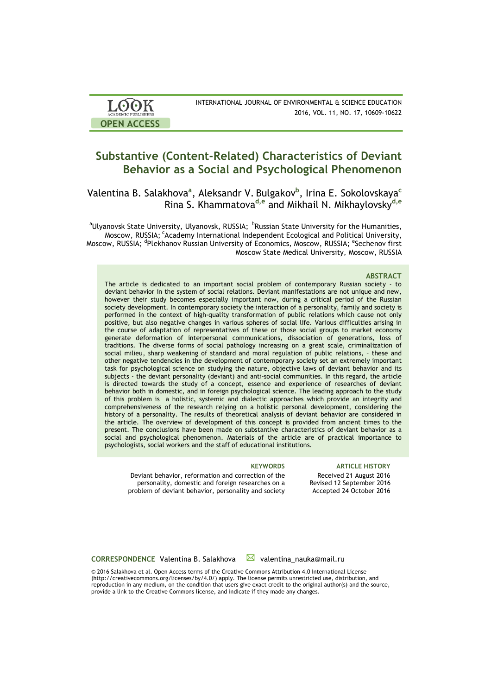| <b>LOOK</b>         | INTERNATIONAL JOURNAL OF ENVIRONMENTAL & SCIENCE EDUCATION |
|---------------------|------------------------------------------------------------|
| ACADEMIC PUBLISHERS | 2016, VOL. 11, NO. 17, 10609-10622                         |
| <b>OPEN ACCESS</b>  |                                                            |

# **Substantive (Content-Related) Characteristics of Deviant Behavior as a Social and Psychological Phenomenon**

Valentina B. Salakhova**<sup>a</sup>** , Aleksandr V. Bulgakov**<sup>b</sup>** , Irina E. Sokolovskaya**<sup>c</sup>** Rina S. Khammatova**d,e** and Mikhail N. Mikhaylovsky**d,e**

<sup>a</sup>Ulyanovsk State University, Ulyanovsk, RUSSIA; <sup>b</sup>Russian State University for the Humanities, Moscow, RUSSIA; <sup>c</sup>Academy International Independent Ecological and Political University, Moscow, RUSSIA; <sup>d</sup>Plekhanov Russian University of Economics, Moscow, RUSSIA; <sup>e</sup>Sechenov first Moscow State Medical University, Moscow, RUSSIA

#### **ABSTRACT**

The article is dedicated to an important social problem of contemporary Russian society - to deviant behavior in the system of social relations. Deviant manifestations are not unique and new, however their study becomes especially important now, during a critical period of the Russian society development. In contemporary society the interaction of a personality, family and society is performed in the context of high-quality transformation of public relations which cause not only positive, but also negative changes in various spheres of social life. Various difficulties arising in the course of adaptation of representatives of these or those social groups to market economy generate deformation of interpersonal communications, dissociation of generations, loss of traditions. The diverse forms of social pathology increasing on a great scale, criminalization of social milieu, sharp weakening of standard and moral regulation of public relations, – these and other negative tendencies in the development of contemporary society set an extremely important task for psychological science on studying the nature, objective laws of deviant behavior and its subjects - the deviant personality (deviant) and anti-social communities. In this regard, the article is directed towards the study of a concept, essence and experience of researches of deviant behavior both in domestic, and in foreign psychological science. The leading approach to the study of this problem is a holistic, systemic and dialectic approaches which provide an integrity and comprehensiveness of the research relying on a holistic personal development, considering the history of a personality. The results of theoretical analysis of deviant behavior are considered in the article. The overview of development of this concept is provided from ancient times to the present. The conclusions have been made on substantive characteristics of deviant behavior as a social and psychological phenomenon. Materials of the article are of practical importance to psychologists, social workers and the staff of educational institutions.

### **KEYWORDS ARTICLE HISTORY**

Deviant behavior, reformation and correction of the personality, domestic and foreign researches on a problem of deviant behavior, personality and society

Received 21 August 2016 Revised 12 September 2016 Accepted 24 October 2016

**CORRESPONDENCE** Valentina B. Salakhova **⊠** valentina nauka@mail.ru

© 2016 Salakhova et al. Open Access terms of the Creative Commons Attribution 4.0 International License (http://creativecommons.org/licenses/by/4.0/) apply. The license permits unrestricted use, distribution, and reproduction in any medium, on the condition that users give exact credit to the original author(s) and the source, provide a link to the Creative Commons license, and indicate if they made any changes.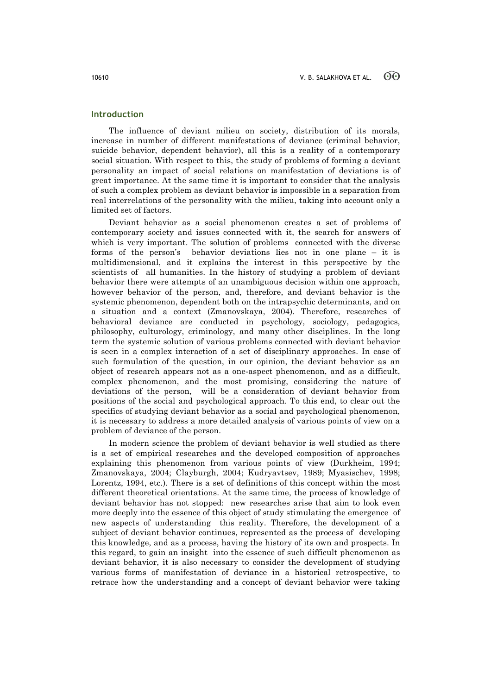## **Introduction**

The influence of deviant milieu on society, distribution of its morals, increase in number of different manifestations of deviance (criminal behavior, suicide behavior, dependent behavior), all this is a reality of a contemporary social situation. With respect to this, the study of problems of forming a deviant personality an impact of social relations on manifestation of deviations is of great importance. At the same time it is important to consider that the analysis of such a complex problem as deviant behavior is impossible in a separation from real interrelations of the personality with the milieu, taking into account only a limited set of factors.

Deviant behavior as a social phenomenon creates a set of problems of contemporary society and issues connected with it, the search for answers of which is very important. The solution of problems connected with the diverse forms of the person's behavior deviations lies not in one plane – it is multidimensional, and it explains the interest in this perspective by the scientists of all humanities. In the history of studying a problem of deviant behavior there were attempts of an unambiguous decision within one approach, however behavior of the person, and, therefore, and deviant behavior is the systemic phenomenon, dependent both on the intrapsychic determinants, and on a situation and a context (Zmanovskaya, 2004). Therefore, researches of behavioral deviance are conducted in psychology, sociology, pedagogics, philosophy, culturology, criminology, and many other disciplines. In the long term the systemic solution of various problems connected with deviant behavior is seen in a complex interaction of a set of disciplinary approaches. In case of such formulation of the question, in our opinion, the deviant behavior as an object of research appears not as a one-aspect phenomenon, and as a difficult, complex phenomenon, and the most promising, considering the nature of deviations of the person, will be a consideration of deviant behavior from positions of the social and psychological approach. To this end, to clear out the specifics of studying deviant behavior as a social and psychological phenomenon, it is necessary to address a more detailed analysis of various points of view on a problem of deviance of the person.

In modern science the problem of deviant behavior is well studied as there is a set of empirical researches and the developed composition of approaches explaining this phenomenon from various points of view (Durkheim, 1994; Zmanovskaya, 2004; Clayburgh, 2004; Kudryavtsev, 1989; Myasischev, 1998; Lorentz, 1994, etc.). There is a set of definitions of this concept within the most different theoretical orientations. At the same time, the process of knowledge of deviant behavior has not stopped: new researches arise that aim to look even more deeply into the essence of this object of study stimulating the emergence of new aspects of understanding this reality. Therefore, the development of a subject of deviant behavior continues, represented as the process of developing this knowledge, and as a process, having the history of its own and prospects. In this regard, to gain an insight into the essence of such difficult phenomenon as deviant behavior, it is also necessary to consider the development of studying various forms of manifestation of deviance in a historical retrospective, to retrace how the understanding and a concept of deviant behavior were taking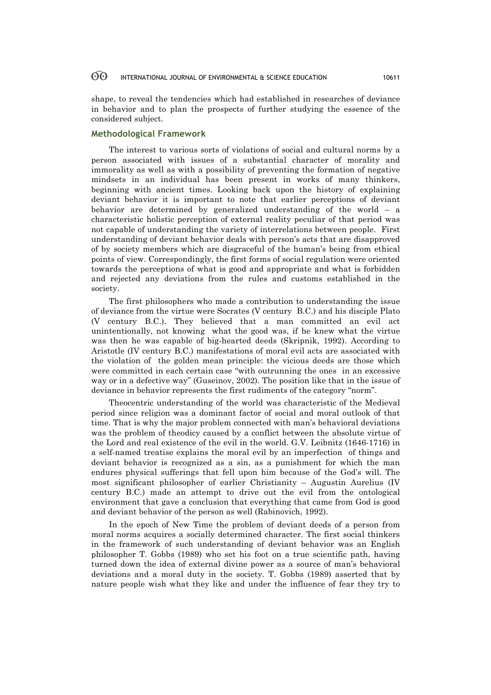shape, to reveal the tendencies which had established in researches of deviance in behavior and to plan the prospects of further studying the essence of the considered subject.

### **Methodological Framework**

The interest to various sorts of violations of social and cultural norms by a person associated with issues of a substantial character of morality and immorality as well as with a possibility of preventing the formation of negative mindsets in an individual has been present in works of many thinkers, beginning with ancient times. Looking back upon the history of explaining deviant behavior it is important to note that earlier perceptions of deviant behavior are determined by generalized understanding of the world – a characteristic holistic perception of external reality peculiar of that period was not capable of understanding the variety of interrelations between people. First understanding of deviant behavior deals with person's acts that are disapproved of by society members which are disgraceful of the human's being from ethical points of view. Correspondingly, the first forms of social regulation were oriented towards the perceptions of what is good and appropriate and what is forbidden and rejected any deviations from the rules and customs established in the society.

The first philosophers who made a contribution to understanding the issue of deviance from the virtue were Socrates (V century B.C.) and his disciple Plato (V century B.C.). They believed that a man committed an evil act unintentionally, not knowing what the good was, if he knew what the virtue was then he was capable of big-hearted deeds (Skripnik, 1992). According to Aristotle (IV century B.C.) manifestations of moral evil acts are associated with the violation of the golden mean principle: the vicious deeds are those which were committed in each certain case "with outrunning the ones in an excessive way or in a defective way" (Guseinov, 2002). The position like that in the issue of deviance in behavior represents the first rudiments of the category "norm".

Theocentric understanding of the world was characteristic of the Medieval period since religion was a dominant factor of social and moral outlook of that time. That is why the major problem connected with man's behavioral deviations was the problem of theodicy caused by a conflict between the absolute virtue of the Lord and real existence of the evil in the world. G.V. Leibnitz (1646-1716) in a self-named treatise explains the moral evil by an imperfection of things and deviant behavior is recognized as a sin, as a punishment for which the man endures physical sufferings that fell upon him because of the God's will. The most significant philosopher of earlier Christianity – Augustin Aurelius (IV century B.C.) made an attempt to drive out the evil from the ontological environment that gave a conclusion that everything that came from God is good and deviant behavior of the person as well (Rabinovich, 1992).

In the epoch of New Time the problem of deviant deeds of a person from moral norms acquires a socially determined character. The first social thinkers in the framework of such understanding of deviant behavior was an English philosopher T. Gobbs (1989) who set his foot on a true scientific path, having turned down the idea of external divine power as a source of man's behavioral deviations and a moral duty in the society. T. Gobbs (1989) asserted that by nature people wish what they like and under the influence of fear they try to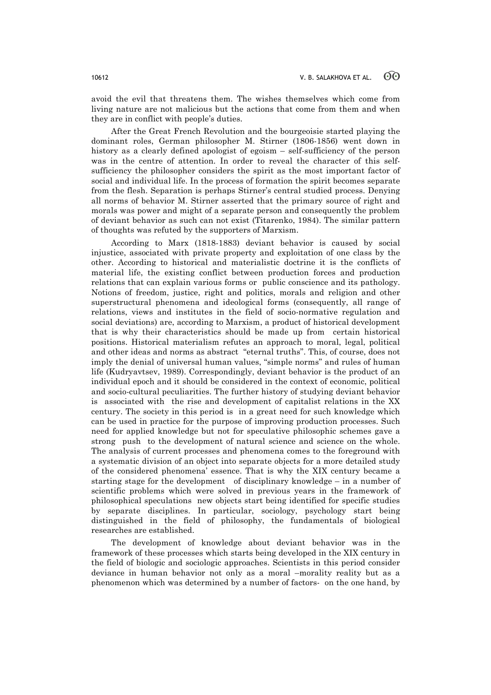avoid the evil that threatens them. The wishes themselves which come from living nature are not malicious but the actions that come from them and when they are in conflict with people's duties.

After the Great French Revolution and the bourgeoisie started playing the dominant roles, German philosopher M. Stirner (1806-1856) went down in history as a clearly defined apologist of egoism – self-sufficiency of the person was in the centre of attention. In order to reveal the character of this selfsufficiency the philosopher considers the spirit as the most important factor of social and individual life. In the process of formation the spirit becomes separate from the flesh. Separation is perhaps Stirner's central studied process. Denying all norms of behavior M. Stirner asserted that the primary source of right and morals was power and might of a separate person and consequently the problem of deviant behavior as such can not exist (Titarenko, 1984). The similar pattern of thoughts was refuted by the supporters of Marxism.

According to Marx (1818-1883) deviant behavior is caused by social injustice, associated with private property and exploitation of one class by the other. According to historical and materialistic doctrine it is the conflicts of material life, the existing conflict between production forces and production relations that can explain various forms or public conscience and its pathology. Notions of freedom, justice, right and politics, morals and religion and other superstructural phenomena and ideological forms (consequently, all range of relations, views and institutes in the field of socio-normative regulation and social deviations) are, according to Marxism, a product of historical development that is why their characteristics should be made up from certain historical positions. Historical materialism refutes an approach to moral, legal, political and other ideas and norms as abstract "eternal truths". This, of course, does not imply the denial of universal human values, "simple norms" and rules of human life (Kudryavtsev, 1989). Correspondingly, deviant behavior is the product of an individual epoch and it should be considered in the context of economic, political and socio-cultural peculiarities. The further history of studying deviant behavior is associated with the rise and development of capitalist relations in the XX century. The society in this period is in a great need for such knowledge which can be used in practice for the purpose of improving production processes. Such need for applied knowledge but not for speculative philosophic schemes gave a strong push to the development of natural science and science on the whole. The analysis of current processes and phenomena comes to the foreground with a systematic division of an object into separate objects for a more detailed study of the considered phenomena' essence. That is why the XIX century became a starting stage for the development of disciplinary knowledge – in a number of scientific problems which were solved in previous years in the framework of philosophical speculations new objects start being identified for specific studies by separate disciplines. In particular, sociology, psychology start being distinguished in the field of philosophy, the fundamentals of biological researches are established.

The development of knowledge about deviant behavior was in the framework of these processes which starts being developed in the XIX century in the field of biologic and sociologic approaches. Scientists in this period consider deviance in human behavior not only as a moral –morality reality but as a phenomenon which was determined by a number of factors- on the one hand, by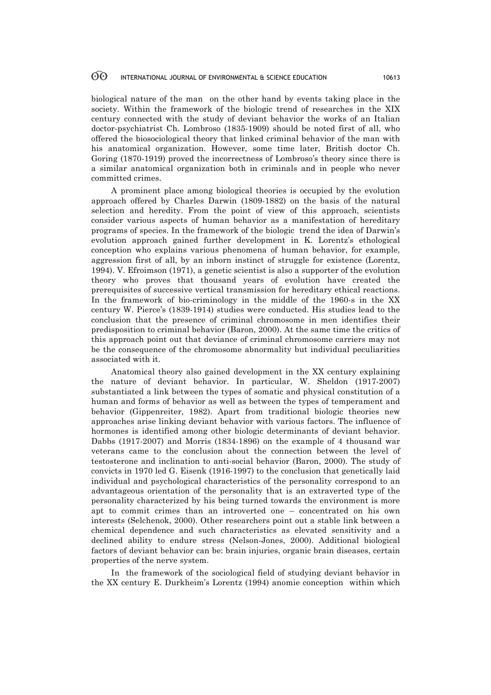biological nature of the man on the other hand by events taking place in the society. Within the framework of the biologic trend of researches in the XIX century connected with the study of deviant behavior the works of an Italian doctor-psychiatrist Ch. Lombroso (1835-1909) should be noted first of all, who offered the biosociological theory that linked criminal behavior of the man with his anatomical organization. However, some time later, British doctor Ch. Goring (1870-1919) proved the incorrectness of Lombroso's theory since there is a similar anatomical organization both in criminals and in people who never committed crimes.

A prominent place among biological theories is occupied by the evolution approach offered by Charles Darwin (1809-1882) on the basis of the natural selection and heredity. From the point of view of this approach, scientists consider various aspects of human behavior as a manifestation of hereditary programs of species. In the framework of the biologic trend the idea of Darwin's evolution approach gained further development in K. Lorentz's ethological conception who explains various phenomena of human behavior, for example, aggression first of all, by an inborn instinct of struggle for existence (Lorentz, 1994). V. Efroimson (1971), a genetic scientist is also a supporter of the evolution theory who proves that thousand years of evolution have created the prerequisites of successive vertical transmission for hereditary ethical reactions. In the framework of bio-criminology in the middle of the 1960-s in the XX century W. Pierce's (1839-1914) studies were conducted. His studies lead to the conclusion that the presence of criminal chromosome in men identifies their predisposition to criminal behavior (Baron, 2000). At the same time the critics of this approach point out that deviance of criminal chromosome carriers may not be the consequence of the chromosome abnormality but individual peculiarities associated with it.

Anatomical theory also gained development in the XX century explaining the nature of deviant behavior. In particular, W. Sheldon (1917-2007) substantiated a link between the types of somatic and physical constitution of a human and forms of behavior as well as between the types of temperament and behavior (Gippenreiter, 1982). Apart from traditional biologic theories new approaches arise linking deviant behavior with various factors. The influence of hormones is identified among other biologic determinants of deviant behavior. Dabbs (1917-2007) and Morris (1834-1896) on the example of 4 thousand war veterans came to the conclusion about the connection between the level of testosterone and inclination to anti-social behavior (Baron, 2000). The study of convicts in 1970 led G. Eisenk (1916-1997) to the conclusion that genetically laid individual and psychological characteristics of the personality correspond to an advantageous orientation of the personality that is an extraverted type of the personality characterized by his being turned towards the environment is more apt to commit crimes than an introverted one – concentrated on his own interests (Selchenok, 2000). Other researchers point out a stable link between a chemical dependence and such characteristics as elevated sensitivity and a declined ability to endure stress (Nelson-Jones, 2000). Additional biological factors of deviant behavior can be: brain injuries, organic brain diseases, certain properties of the nerve system.

In the framework of the sociological field of studying deviant behavior in the XX century E. Durkheim's Lorentz (1994) anomie conception within which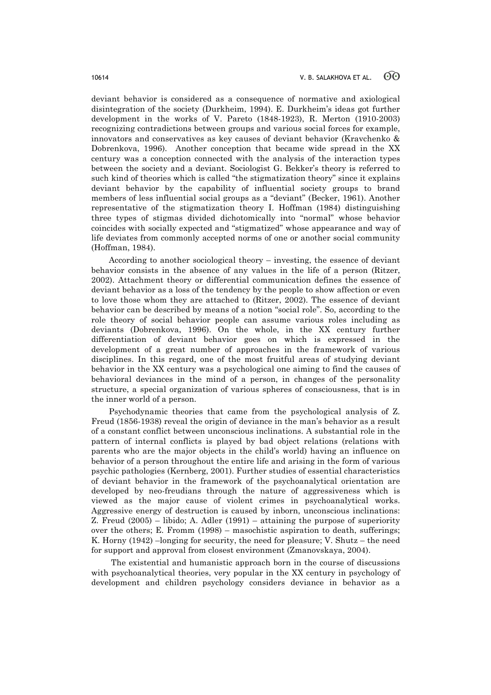deviant behavior is considered as a consequence of normative and axiological disintegration of the society (Durkheim, 1994). E. Durkheim's ideas got further development in the works of V. Pareto (1848-1923), R. Merton (1910-2003) recognizing contradictions between groups and various social forces for example, innovators and conservatives as key causes of deviant behavior (Kravchenko & Dobrenkova, 1996). Another conception that became wide spread in the XX century was a conception connected with the analysis of the interaction types between the society and a deviant. Sociologist G. Bekker's theory is referred to such kind of theories which is called "the stigmatization theory" since it explains deviant behavior by the capability of influential society groups to brand members of less influential social groups as a "deviant" (Becker, 1961). Another representative of the stigmatization theory I. Hoffman (1984) distinguishing three types of stigmas divided dichotomically into "normal" whose behavior coincides with socially expected and "stigmatized" whose appearance and way of life deviates from commonly accepted norms of one or another social community (Hoffman, 1984).

According to another sociological theory – investing, the essence of deviant behavior consists in the absence of any values in the life of a person (Ritzer, 2002). Attachment theory or differential communication defines the essence of deviant behavior as a loss of the tendency by the people to show affection or even to love those whom they are attached to (Ritzer, 2002). The essence of deviant behavior can be described by means of a notion "social role". So, according to the role theory of social behavior people can assume various roles including as deviants (Dobrenkova, 1996). On the whole, in the XX century further differentiation of deviant behavior goes on which is expressed in the development of a great number of approaches in the framework of various disciplines. In this regard, one of the most fruitful areas of studying deviant behavior in the XX century was a psychological one aiming to find the causes of behavioral deviances in the mind of a person, in changes of the personality structure, a special organization of various spheres of consciousness, that is in the inner world of a person.

Psychodynamic theories that came from the psychological analysis of Z. Freud (1856-1938) reveal the origin of deviance in the man's behavior as a result of a constant conflict between unconscious inclinations. A substantial role in the pattern of internal conflicts is played by bad object relations (relations with parents who are the major objects in the child's world) having an influence on behavior of a person throughout the entire life and arising in the form of various psychic pathologies (Kernberg, 2001). Further studies of essential characteristics of deviant behavior in the framework of the psychoanalytical orientation are developed by neo-freudians through the nature of aggressiveness which is viewed as the major cause of violent crimes in psychoanalytical works. Aggressive energy of destruction is caused by inborn, unconscious inclinations: Z. Freud (2005) – libido; A. Adler (1991) – attaining the purpose of superiority over the others; E. Fromm (1998) – masochistic aspiration to death, sufferings; K. Horny (1942) –longing for security, the need for pleasure; V. Shutz – the need for support and approval from closest environment (Zmanovskaya, 2004).

The existential and humanistic approach born in the course of discussions with psychoanalytical theories, very popular in the XX century in psychology of development and children psychology considers deviance in behavior as a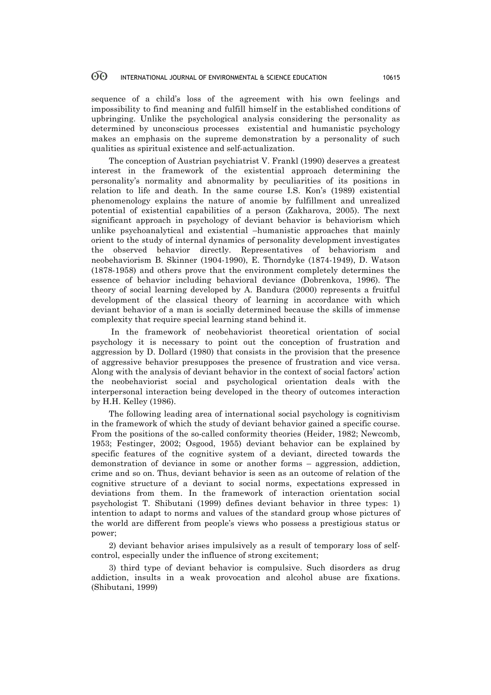sequence of a child's loss of the agreement with his own feelings and impossibility to find meaning and fulfill himself in the established conditions of upbringing. Unlike the psychological analysis considering the personality as determined by unconscious processes existential and humanistic psychology makes an emphasis on the supreme demonstration by a personality of such qualities as spiritual existence and self-actualization.

The conception of Austrian psychiatrist V. Frankl (1990) deserves a greatest interest in the framework of the existential approach determining the personality's normality and abnormality by peculiarities of its positions in relation to life and death. In the same course I.S. Kon's (1989) existential phenomenology explains the nature of anomie by fulfillment and unrealized potential of existential capabilities of a person (Zakharova, 2005). The next significant approach in psychology of deviant behavior is behaviorism which unlike psychoanalytical and existential –humanistic approaches that mainly orient to the study of internal dynamics of personality development investigates the observed behavior directly. Representatives of behaviorism and neobehaviorism B. Skinner (1904-1990), E. Thorndyke (1874-1949), D. Watson (1878-1958) and others prove that the environment completely determines the essence of behavior including behavioral deviance (Dobrenkova, 1996). The theory of social learning developed by A. Bandura (2000) represents a fruitful development of the classical theory of learning in accordance with which deviant behavior of a man is socially determined because the skills of immense complexity that require special learning stand behind it.

In the framework of neobehaviorist theoretical orientation of social psychology it is necessary to point out the conception of frustration and aggression by D. Dollard (1980) that consists in the provision that the presence of aggressive behavior presupposes the presence of frustration and vice versa. Along with the analysis of deviant behavior in the context of social factors' action the neobehaviorist social and psychological orientation deals with the interpersonal interaction being developed in the theory of outcomes interaction by H.H. Kelley (1986).

The following leading area of international social psychology is cognitivism in the framework of which the study of deviant behavior gained a specific course. From the positions of the so-called conformity theories (Heider, 1982; Newcomb, 1953; Festinger, 2002; Osgood, 1955) deviant behavior can be explained by specific features of the cognitive system of a deviant, directed towards the demonstration of deviance in some or another forms – aggression, addiction, crime and so on. Thus, deviant behavior is seen as an outcome of relation of the cognitive structure of a deviant to social norms, expectations expressed in deviations from them. In the framework of interaction orientation social psychologist T. Shibutani (1999) defines deviant behavior in three types: 1) intention to adapt to norms and values of the standard group whose pictures of the world are different from people's views who possess a prestigious status or power;

2) deviant behavior arises impulsively as a result of temporary loss of selfcontrol, especially under the influence of strong excitement;

3) third type of deviant behavior is compulsive. Such disorders as drug addiction, insults in a weak provocation and alcohol abuse are fixations. (Shibutani, 1999)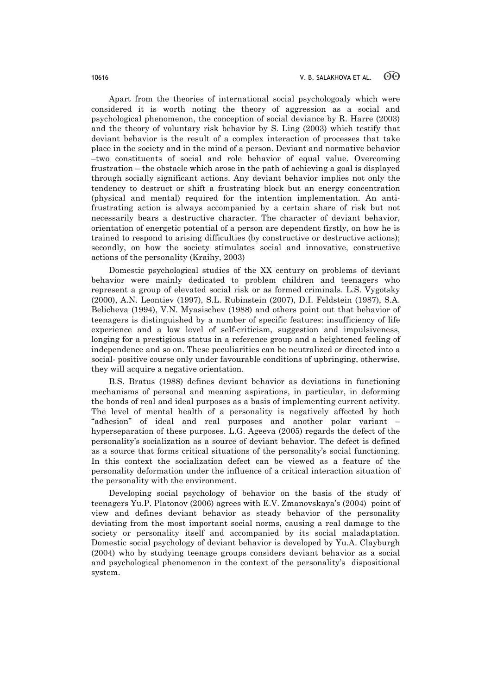Apart from the theories of international social psychologoaly which were considered it is worth noting the theory of aggression as a social and psychological phenomenon, the conception of social deviance by R. Harre (2003) and the theory of voluntary risk behavior by S. Ling (2003) which testify that deviant behavior is the result of a complex interaction of processes that take place in the society and in the mind of a person. Deviant and normative behavior –two constituents of social and role behavior of equal value. Overcoming frustration – the obstacle which arose in the path of achieving a goal is displayed through socially significant actions. Any deviant behavior implies not only the tendency to destruct or shift a frustrating block but an energy concentration (physical and mental) required for the intention implementation. An antifrustrating action is always accompanied by a certain share of risk but not necessarily bears a destructive character. The character of deviant behavior, orientation of energetic potential of a person are dependent firstly, on how he is trained to respond to arising difficulties (by constructive or destructive actions); secondly, on how the society stimulates social and innovative, constructive actions of the personality (Kraihy, 2003)

Domestic psychological studies of the XX century on problems of deviant behavior were mainly dedicated to problem children and teenagers who represent a group of elevated social risk or as formed criminals. L.S. Vygotsky (2000), A.N. Leontiev (1997), S.L. Rubinstein (2007), D.I. Feldstein (1987), S.A. Belicheva (1994), V.N. Myasischev (1988) and others point out that behavior of teenagers is distinguished by a number of specific features: insufficiency of life experience and a low level of self-criticism, suggestion and impulsiveness, longing for a prestigious status in a reference group and a heightened feeling of independence and so on. These peculiarities can be neutralized or directed into a social- positive course only under favourable conditions of upbringing, otherwise, they will acquire a negative orientation.

B.S. Bratus (1988) defines deviant behavior as deviations in functioning mechanisms of personal and meaning aspirations, in particular, in deforming the bonds of real and ideal purposes as a basis of implementing current activity. The level of mental health of a personality is negatively affected by both "adhesion" of ideal and real purposes and another polar variant – hyperseparation of these purposes. L.G. Ageeva (2005) regards the defect of the personality's socialization as a source of deviant behavior. The defect is defined as a source that forms critical situations of the personality's social functioning. In this context the socialization defect can be viewed as a feature of the personality deformation under the influence of a critical interaction situation of the personality with the environment.

Developing social psychology of behavior on the basis of the study of teenagers Yu.P. Platonov (2006) agrees with E.V. Zmanovskaya's (2004) point of view and defines deviant behavior as steady behavior of the personality deviating from the most important social norms, causing a real damage to the society or personality itself and accompanied by its social maladaptation. Domestic social psychology of deviant behavior is developed by Yu.A. Clayburgh (2004) who by studying teenage groups considers deviant behavior as a social and psychological phenomenon in the context of the personality's dispositional system.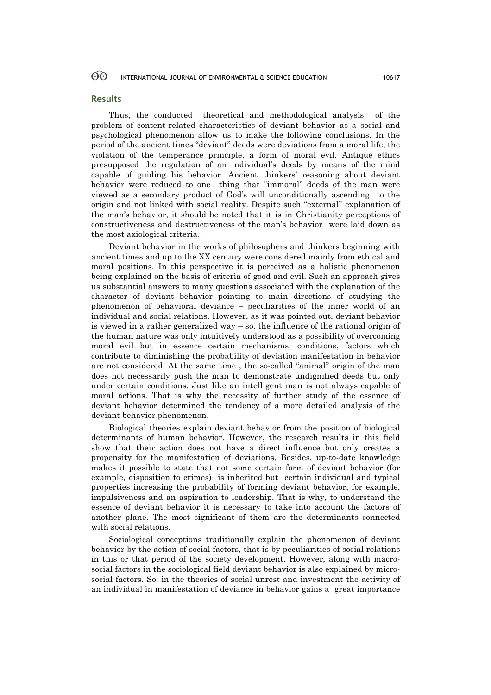### **Results**

Thus, the conducted theoretical and methodological analysis of the problem of content-related characteristics of deviant behavior as a social and psychological phenomenon allow us to make the following conclusions. In the period of the ancient times "deviant" deeds were deviations from a moral life, the violation of the temperance principle, a form of moral evil. Antique ethics presupposed the regulation of an individual's deeds by means of the mind capable of guiding his behavior. Ancient thinkers' reasoning about deviant behavior were reduced to one thing that "immoral" deeds of the man were viewed as a secondary product of God's will unconditionally ascending to the origin and not linked with social reality. Despite such "external" explanation of the man's behavior, it should be noted that it is in Christianity perceptions of constructiveness and destructiveness of the man's behavior were laid down as the most axiological criteria.

Deviant behavior in the works of philosophers and thinkers beginning with ancient times and up to the XX century were considered mainly from ethical and moral positions. In this perspective it is perceived as a holistic phenomenon being explained on the basis of criteria of good and evil. Such an approach gives us substantial answers to many questions associated with the explanation of the character of deviant behavior pointing to main directions of studying the phenomenon of behavioral deviance – peculiarities of the inner world of an individual and social relations. However, as it was pointed out, deviant behavior is viewed in a rather generalized way – so, the influence of the rational origin of the human nature was only intuitively understood as a possibility of overcoming moral evil but in essence certain mechanisms, conditions, factors which contribute to diminishing the probability of deviation manifestation in behavior are not considered. At the same time , the so-called "animal" origin of the man does not necessarily push the man to demonstrate undignified deeds but only under certain conditions. Just like an intelligent man is not always capable of moral actions. That is why the necessity of further study of the essence of deviant behavior determined the tendency of a more detailed analysis of the deviant behavior phenomenon.

Biological theories explain deviant behavior from the position of biological determinants of human behavior. However, the research results in this field show that their action does not have a direct influence but only creates a propensity for the manifestation of deviations. Besides, up-to-date knowledge makes it possible to state that not some certain form of deviant behavior (for example, disposition to crimes) is inherited but certain individual and typical properties increasing the probability of forming deviant behavior, for example, impulsiveness and an aspiration to leadership. That is why, to understand the essence of deviant behavior it is necessary to take into account the factors of another plane. The most significant of them are the determinants connected with social relations.

Sociological conceptions traditionally explain the phenomenon of deviant behavior by the action of social factors, that is by peculiarities of social relations in this or that period of the society development. However, along with macrosocial factors in the sociological field deviant behavior is also explained by microsocial factors. So, in the theories of social unrest and investment the activity of an individual in manifestation of deviance in behavior gains a great importance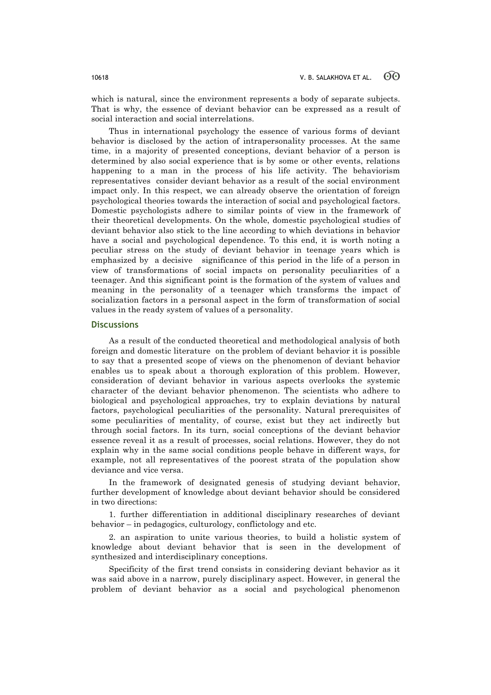which is natural, since the environment represents a body of separate subjects. That is why, the essence of deviant behavior can be expressed as a result of social interaction and social interrelations.

Thus in international psychology the essence of various forms of deviant behavior is disclosed by the action of intrapersonality processes. At the same time, in a majority of presented conceptions, deviant behavior of a person is determined by also social experience that is by some or other events, relations happening to a man in the process of his life activity. The behaviorism representatives consider deviant behavior as a result of the social environment impact only. In this respect, we can already observe the orientation of foreign psychological theories towards the interaction of social and psychological factors. Domestic psychologists adhere to similar points of view in the framework of their theoretical developments. On the whole, domestic psychological studies of deviant behavior also stick to the line according to which deviations in behavior have a social and psychological dependence. To this end, it is worth noting a peculiar stress on the study of deviant behavior in teenage years which is emphasized by a decisive significance of this period in the life of a person in view of transformations of social impacts on personality peculiarities of a teenager. And this significant point is the formation of the system of values and meaning in the personality of a teenager which transforms the impact of socialization factors in a personal aspect in the form of transformation of social values in the ready system of values of a personality.

### **Discussions**

As a result of the conducted theoretical and methodological analysis of both foreign and domestic literature on the problem of deviant behavior it is possible to say that a presented scope of views on the phenomenon of deviant behavior enables us to speak about a thorough exploration of this problem. However, consideration of deviant behavior in various aspects overlooks the systemic character of the deviant behavior phenomenon. The scientists who adhere to biological and psychological approaches, try to explain deviations by natural factors, psychological peculiarities of the personality. Natural prerequisites of some peculiarities of mentality, of course, exist but they act indirectly but through social factors. In its turn, social conceptions of the deviant behavior essence reveal it as a result of processes, social relations. However, they do not explain why in the same social conditions people behave in different ways, for example, not all representatives of the poorest strata of the population show deviance and vice versa.

In the framework of designated genesis of studying deviant behavior, further development of knowledge about deviant behavior should be considered in two directions:

1. further differentiation in additional disciplinary researches of deviant behavior – in pedagogics, culturology, conflictology and etc.

2. an aspiration to unite various theories, to build a holistic system of knowledge about deviant behavior that is seen in the development of synthesized and interdisciplinary conceptions.

Specificity of the first trend consists in considering deviant behavior as it was said above in a narrow, purely disciplinary aspect. However, in general the problem of deviant behavior as a social and psychological phenomenon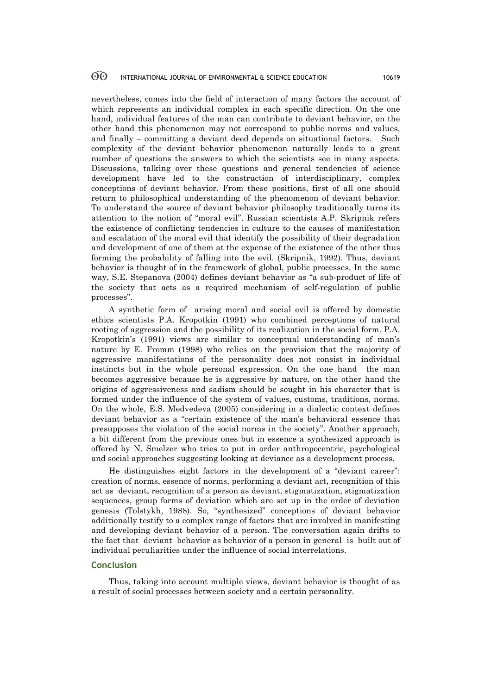nevertheless, comes into the field of interaction of many factors the account of which represents an individual complex in each specific direction. On the one hand, individual features of the man can contribute to deviant behavior, on the other hand this phenomenon may not correspond to public norms and values, and finally – committing a deviant deed depends on situational factors. Such complexity of the deviant behavior phenomenon naturally leads to a great number of questions the answers to which the scientists see in many aspects. Discussions, talking over these questions and general tendencies of science development have led to the construction of interdisciplinary, complex conceptions of deviant behavior. From these positions, first of all one should return to philosophical understanding of the phenomenon of deviant behavior. To understand the source of deviant behavior philosophy traditionally turns its attention to the notion of "moral evil". Russian scientists A.P. Skripnik refers the existence of conflicting tendencies in culture to the causes of manifestation and escalation of the moral evil that identify the possibility of their degradation and development of one of them at the expense of the existence of the other thus forming the probability of falling into the evil. (Skripnik, 1992). Thus, deviant behavior is thought of in the framework of global, public processes. In the same way, S.E. Stepanova (2004) defines deviant behavior as "a sub-product of life of the society that acts as a required mechanism of self-regulation of public processes".

A synthetic form of arising moral and social evil is offered by domestic ethics scientists P.A. Kropotkin (1991) who combined perceptions of natural rooting of aggression and the possibility of its realization in the social form. P.A. Kropotkin's (1991) views are similar to conceptual understanding of man's nature by E. Fromm (1998) who relies on the provision that the majority of aggressive manifestations of the personality does not consist in individual instincts but in the whole personal expression. On the one hand the man becomes aggressive because he is aggressive by nature, on the other hand the origins of aggressiveness and sadism should be sought in his character that is formed under the influence of the system of values, customs, traditions, norms. On the whole, E.S. Medvedeva (2005) considering in a dialectic context defines deviant behavior as a "certain existence of the man's behavioral essence that presupposes the violation of the social norms in the society". Another approach, a bit different from the previous ones but in essence a synthesized approach is offered by N. Smelzer who tries to put in order anthropocentric, psychological and social approaches suggesting looking at deviance as a development process.

He distinguishes eight factors in the development of a "deviant career": creation of norms, essence of norms, performing a deviant act, recognition of this act as deviant, recognition of a person as deviant, stigmatization, stigmatization sequences, group forms of deviation which are set up in the order of deviation genesis (Tolstykh, 1988). So, "synthesized" conceptions of deviant behavior additionally testify to a complex range of factors that are involved in manifesting and developing deviant behavior of a person. The conversation again drifts to the fact that deviant behavior as behavior of a person in general is built out of individual peculiarities under the influence of social interrelations.

### **Conclusion**

Thus, taking into account multiple views, deviant behavior is thought of as a result of social processes between society and a certain personality.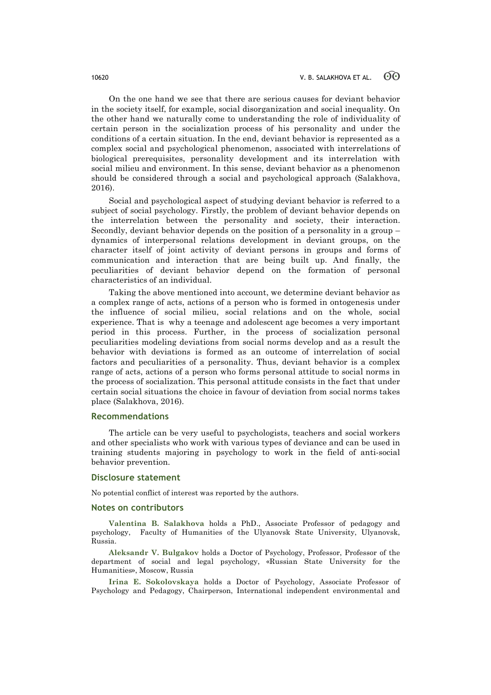On the one hand we see that there are serious causes for deviant behavior in the society itself, for example, social disorganization and social inequality. On the other hand we naturally come to understanding the role of individuality of certain person in the socialization process of his personality and under the conditions of a certain situation. In the end, deviant behavior is represented as a complex social and psychological phenomenon, associated with interrelations of biological prerequisites, personality development and its interrelation with social milieu and environment. In this sense, deviant behavior as a phenomenon should be considered through a social and psychological approach (Salakhova, 2016).

Social and psychological aspect of studying deviant behavior is referred to a subject of social psychology. Firstly, the problem of deviant behavior depends on the interrelation between the personality and society, their interaction. Secondly, deviant behavior depends on the position of a personality in a group – dynamics of interpersonal relations development in deviant groups, on the character itself of joint activity of deviant persons in groups and forms of communication and interaction that are being built up. And finally, the peculiarities of deviant behavior depend on the formation of personal characteristics of an individual.

Taking the above mentioned into account, we determine deviant behavior as a complex range of acts, actions of a person who is formed in ontogenesis under the influence of social milieu, social relations and on the whole, social experience. That is why a teenage and adolescent age becomes a very important period in this process. Further, in the process of socialization personal peculiarities modeling deviations from social norms develop and as a result the behavior with deviations is formed as an outcome of interrelation of social factors and peculiarities of a personality. Thus, deviant behavior is a complex range of acts, actions of a person who forms personal attitude to social norms in the process of socialization. This personal attitude consists in the fact that under certain social situations the choice in favour of deviation from social norms takes place (Salakhova, 2016).

### **Recommendations**

The article can be very useful to psychologists, teachers and social workers and other specialists who work with various types of deviance and can be used in training students majoring in psychology to work in the field of anti-social behavior prevention.

#### **Disclosure statement**

No potential conflict of interest was reported by the authors.

### **Notes on contributors**

**Valentina B. Salakhova** holds a PhD., Associate Professor of pedagogy and psychology, Faculty of Humanities of the Ulyanovsk State University, Ulyanovsk, Russia.

**Aleksandr V. Bulgakov** holds a Doctor of Psychology, Professor, Professor of the department of social and legal psychology, «Russian State University for the Humanities», Moscow, Russia

**Irina E. Sokolovskaya** holds a Doctor of Psychology, Associate Professor of Psychology and Pedagogy, Chairperson, International independent environmental and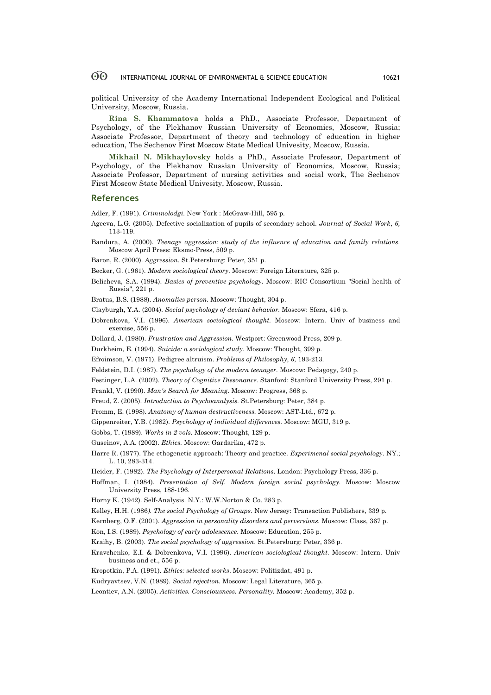political University of the Academy International Independent Ecological and Political University, Moscow, Russia.

**Rina S. Khammatova** holds a PhD., Associate Professor, Department of Psychology, of the Plekhanov Russian University of Economics, Moscow, Russia; Associate Professor, Department of theory and technology of education in higher education, The Sechenov First Moscow State Medical Univesity, Moscow, Russia.

**Mikhail N. Mikhaylovsky** holds a PhD., Associate Professor, Department of Psychology, of the Plekhanov Russian University of Economics, Moscow, Russia; Associate Professor, Department of nursing activities and social work, The Sechenov First Moscow State Medical Univesity, Moscow, Russia.

#### **References**

Adler, F. (1991). *Criminolodgi.* New York : McGraw-Hill, 595 p.

- Ageeva, L.G. (2005). Defective socialization of pupils of secondary school. *Journal of Social Work*, *6,* 113-119.
- Bandura, A. (2000). *Teenage aggression: study of the influence of education and family relations.* Moscow April Press: Eksmo-Press, 509 p.

Baron, R. (2000). *Aggression*. St.Petersburg: Peter, 351 p.

- Becker, G. (1961). *Modern sociological theory*. Moscow: Foreign Literature, 325 p.
- Belicheva, S.A. (1994). *Basics of preventive psychology.* Moscow: RIC Consortium "Social health of Russia", 221 p.

Bratus, B.S. (1988). *Anomalies person*. Moscow: Thought, 304 p.

- Clayburgh, Y.A. (2004). *Social psychology of deviant behavior.* Moscow: Sfera, 416 p.
- Dobrenkova, V.I. (1996). *American sociological thought.* Moscow: Intern. Univ of business and exercise, 556 p.
- Dollard, J. (1980). *Frustration and Aggression*. Westport: Greenwood Press, 209 p.
- Durkheim, E. (1994). *Suicide: a sociological study*. Moscow: Thought, 399 p.
- Efroimson, V. (1971). Pedigree altruism. *Problems of Philosophy*, *6*, 193-213.
- Feldstein, D.I. (1987). *The psychology of the modern teenager.* Moscow: Pedagogy, 240 p.
- Festinger, L.A. (2002). *Theory of Cognitive Dissonance.* Stanford: Stanford University Press, 291 p.

Frankl, V. (1990). *Man's Search for Meaning*. Moscow: Progress, 368 p.

- Freud, Z. (2005). *Introduction to Psychoanalysis.* St.Petersburg: Peter, 384 p.
- Fromm, E. (1998). *Anatomy of human destructiveness.* Moscow: AST-Ltd., 672 p.
- Gippenreiter, Y.B. (1982). *Psychology of individual differences.* Moscow: MGU, 319 p.
- Gobbs, T. (1989). *Works in 2 vols*. Moscow: Thought, 129 p.

Guseinov, A.A. (2002). *Ethics.* Moscow: Gardarika, 472 p.

- Harre R. (1977). The ethogenetic approach: Theory and practice. *Experimenal social psychology*. NY.; L. 10, 283-314.
- Heider, F. (1982). *The Psychology of Interpersonal Relations*. London: Psychology Press, 336 p.
- Hoffman, I. (1984). *Presentation of Self. Modern foreign social psychology.* Moscow: Moscow University Press, 188-196.

Horny K. (1942). Self-Analysis. N.Y.: W.W.Norton & Co. 283 p.

Kelley, H.H. (1986*). The social Psychology of Groups*. New Jersey: Transaction Publishers, 339 p.

Kernberg, O.F. (2001). *Aggression in personality disorders and perversions.* Moscow: Class, 367 p.

- Kon, I.S. (1989). *Psychology of early adolescence*. Moscow: Education, 255 p.
- Kraihy, B. (2003). *The social psychology of aggression*. St.Petersburg: Peter, 336 p.
- Kravchenko, E.I. & Dobrenkova, V.I. (1996). *American sociological thought.* Moscow: Intern. Univ business and et., 556 p.
- Kropotkin, P.A. (1991). *Ethics: selected works*. Moscow: Politizdat, 491 p.
- Kudryavtsev, V.N. (1989). *Social rejection.* Moscow: Legal Literature, 365 p.
- Leontiev, A.N. (2005). *Activities. Consciousness. Personality.* Moscow: Academy, 352 p.